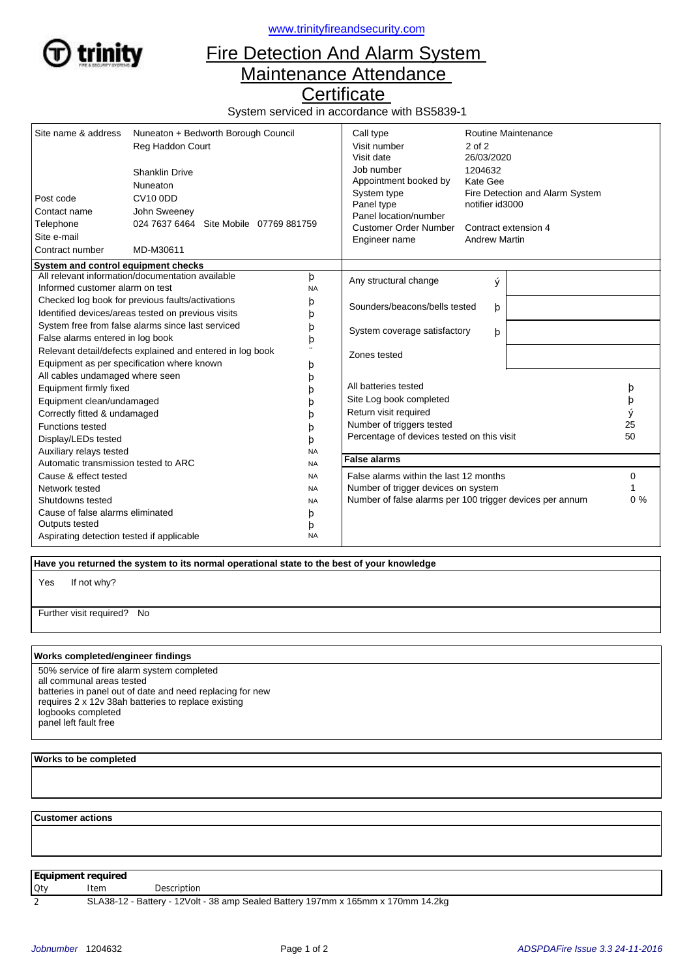

<www.trinityfireandsecurity.com>

## Fire Detection And Alarm System Maintenance Attendance

**Certificate** 

System serviced in accordance with BS5839-1

| Site name & address<br>Post code                                                                                                                                         | Nuneaton + Bedworth Borough Council<br>Reg Haddon Court<br><b>Shanklin Drive</b><br>Nuneaton<br><b>CV10 0DD</b> |                            | Call type<br>Visit number<br>Visit date<br>Job number<br>Appointment booked by<br>System type                                                       | Routine Maintenance<br>$2$ of $2$<br>26/03/2020<br>1204632<br>Kate Gee<br>Fire Detection and Alarm System |  |                         |
|--------------------------------------------------------------------------------------------------------------------------------------------------------------------------|-----------------------------------------------------------------------------------------------------------------|----------------------------|-----------------------------------------------------------------------------------------------------------------------------------------------------|-----------------------------------------------------------------------------------------------------------|--|-------------------------|
| Contact name<br>Telephone<br>Site e-mail<br>Contract number                                                                                                              | John Sweeney<br>024 7637 6464 Site Mobile 07769 881759<br>MD-M30611                                             |                            | Panel type<br>Panel location/number<br><b>Customer Order Number</b><br>Engineer name                                                                | notifier id3000<br>Contract extension 4<br><b>Andrew Martin</b>                                           |  |                         |
| System and control equipment checks                                                                                                                                      |                                                                                                                 |                            |                                                                                                                                                     |                                                                                                           |  |                         |
| Informed customer alarm on test                                                                                                                                          | All relevant information/documentation available                                                                | þ<br><b>NA</b>             | Any structural change                                                                                                                               | ý                                                                                                         |  |                         |
| Checked log book for previous faults/activations<br>Identified devices/areas tested on previous visits                                                                   |                                                                                                                 | þ<br>þ                     | Sounders/beacons/bells tested<br>þ                                                                                                                  |                                                                                                           |  |                         |
| System free from false alarms since last serviced<br>False alarms entered in log book                                                                                    |                                                                                                                 | þ<br>þ                     | System coverage satisfactory<br>þ                                                                                                                   |                                                                                                           |  |                         |
|                                                                                                                                                                          | Relevant detail/defects explained and entered in log book<br>Equipment as per specification where known         | þ                          | Zones tested                                                                                                                                        |                                                                                                           |  |                         |
| All cables undamaged where seen<br>Equipment firmly fixed<br>Equipment clean/undamaged<br>Correctly fitted & undamaged<br><b>Functions tested</b><br>Display/LEDs tested |                                                                                                                 | b<br>b<br>n<br>h<br>b<br>b | All batteries tested<br>Site Log book completed<br>Return visit required<br>Number of triggers tested<br>Percentage of devices tested on this visit |                                                                                                           |  | þ<br>þ<br>ý<br>25<br>50 |
| Auxiliary relays tested                                                                                                                                                  |                                                                                                                 | <b>NA</b>                  |                                                                                                                                                     |                                                                                                           |  |                         |
| Automatic transmission tested to ARC                                                                                                                                     |                                                                                                                 | <b>NA</b>                  | <b>False alarms</b>                                                                                                                                 |                                                                                                           |  |                         |
| Cause & effect tested<br>Network tested                                                                                                                                  |                                                                                                                 | <b>NA</b><br><b>NA</b>     | False alarms within the last 12 months<br>Number of trigger devices on system                                                                       |                                                                                                           |  | 0                       |
| Shutdowns tested<br><b>NA</b>                                                                                                                                            |                                                                                                                 |                            | Number of false alarms per 100 trigger devices per annum                                                                                            | 0%                                                                                                        |  |                         |
| Cause of false alarms eliminated                                                                                                                                         |                                                                                                                 | þ                          |                                                                                                                                                     |                                                                                                           |  |                         |
| Outputs tested                                                                                                                                                           |                                                                                                                 | þ                          |                                                                                                                                                     |                                                                                                           |  |                         |
| Aspirating detection tested if applicable                                                                                                                                |                                                                                                                 | <b>NA</b>                  |                                                                                                                                                     |                                                                                                           |  |                         |

 **Have you returned the system to its normal operational state to the best of your knowledge**

If not why? Yes

Further visit required? No

## **Works completed/engineer findings**

50% service of fire alarm system completed all communal areas tested batteries in panel out of date and need replacing for new requires 2 x 12v 38ah batteries to replace existing logbooks completed panel left fault free

## **Works to be completed**

 **Customer actions**

**Equipment required**

Qty Item Description

2 SLA38-12 - Battery - 12Volt - 38 amp Sealed Battery 197mm x 165mm x 170mm 14.2kg